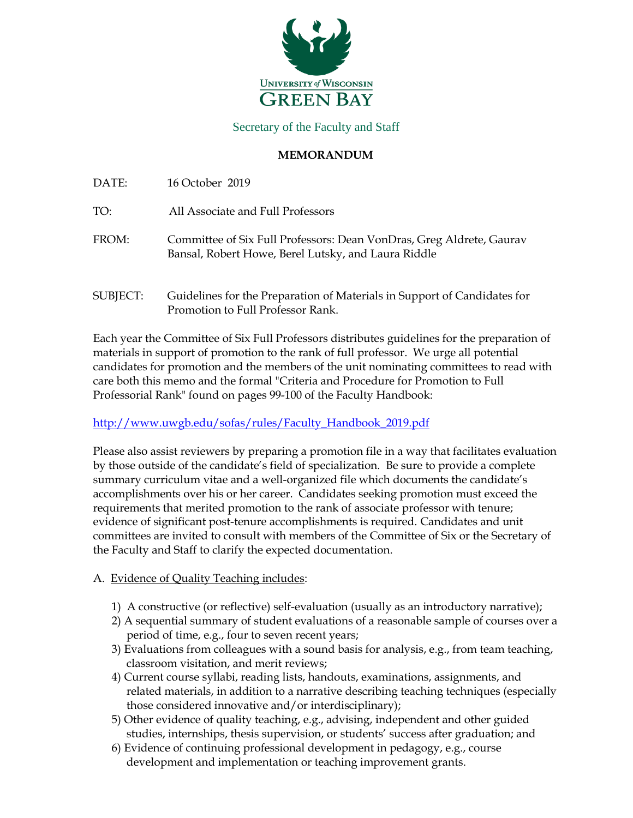

Secretary of the Faculty and Staff

### **MEMORANDUM**

DATE: 16 October 2019

TO: All Associate and Full Professors

- FROM: Committee of Six Full Professors: Dean VonDras, Greg Aldrete, Gaurav Bansal, Robert Howe, Berel Lutsky, and Laura Riddle
- SUBJECT: Guidelines for the Preparation of Materials in Support of Candidates for Promotion to Full Professor Rank.

Each year the Committee of Six Full Professors distributes guidelines for the preparation of materials in support of promotion to the rank of full professor. We urge all potential candidates for promotion and the members of the unit nominating committees to read with care both this memo and the formal "Criteria and Procedure for Promotion to Full Professorial Rank" found on pages 99-100 of the Faculty Handbook:

# [http://www.uwgb.edu/sofas/rules/Faculty\\_Handbook\\_2019.pdf](http://www.uwgb.edu/sofas/rules/Faculty_Handbook_2019.pdf)

Please also assist reviewers by preparing a promotion file in a way that facilitates evaluation by those outside of the candidate's field of specialization. Be sure to provide a complete summary curriculum vitae and a well-organized file which documents the candidate's accomplishments over his or her career. Candidates seeking promotion must exceed the requirements that merited promotion to the rank of associate professor with tenure; evidence of significant post-tenure accomplishments is required. Candidates and unit committees are invited to consult with members of the Committee of Six or the Secretary of the Faculty and Staff to clarify the expected documentation.

- A. Evidence of Quality Teaching includes:
	- 1) A constructive (or reflective) self-evaluation (usually as an introductory narrative);
	- 2) A sequential summary of student evaluations of a reasonable sample of courses over a period of time, e.g., four to seven recent years;
	- 3) Evaluations from colleagues with a sound basis for analysis, e.g., from team teaching, classroom visitation, and merit reviews;
	- 4) Current course syllabi, reading lists, handouts, examinations, assignments, and related materials, in addition to a narrative describing teaching techniques (especially those considered innovative and/or interdisciplinary);
	- 5) Other evidence of quality teaching, e.g., advising, independent and other guided studies, internships, thesis supervision, or students' success after graduation; and
	- 6) Evidence of continuing professional development in pedagogy, e.g., course development and implementation or teaching improvement grants.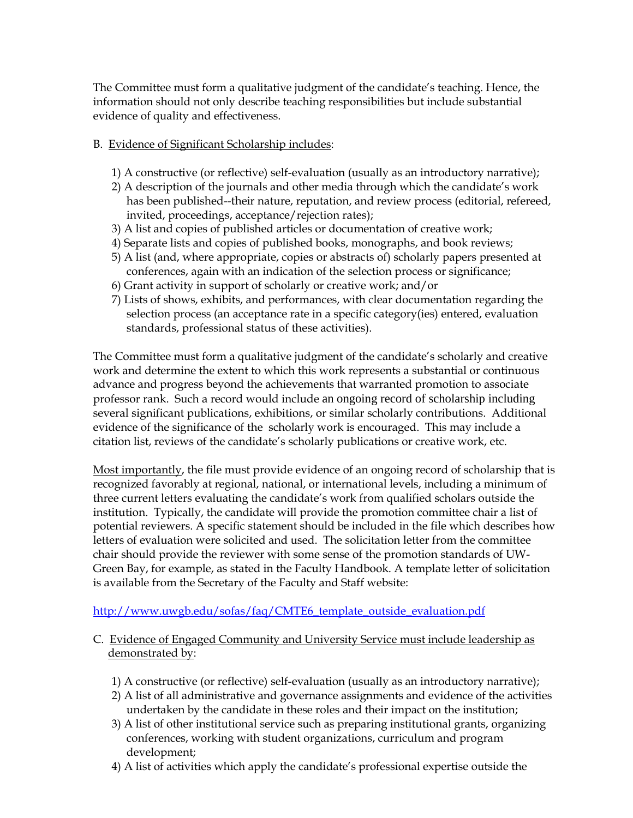The Committee must form a qualitative judgment of the candidate's teaching. Hence, the information should not only describe teaching responsibilities but include substantial evidence of quality and effectiveness.

## B. Evidence of Significant Scholarship includes:

- 1) A constructive (or reflective) self-evaluation (usually as an introductory narrative);
- 2) A description of the journals and other media through which the candidate's work has been published--their nature, reputation, and review process (editorial, refereed, invited, proceedings, acceptance/rejection rates);
- 3) A list and copies of published articles or documentation of creative work;
- 4) Separate lists and copies of published books, monographs, and book reviews;
- 5) A list (and, where appropriate, copies or abstracts of) scholarly papers presented at conferences, again with an indication of the selection process or significance;
- 6) Grant activity in support of scholarly or creative work; and/or
- 7) Lists of shows, exhibits, and performances, with clear documentation regarding the selection process (an acceptance rate in a specific category(ies) entered, evaluation standards, professional status of these activities).

The Committee must form a qualitative judgment of the candidate's scholarly and creative work and determine the extent to which this work represents a substantial or continuous advance and progress beyond the achievements that warranted promotion to associate professor rank. Such a record would include an ongoing record of scholarship including several significant publications, exhibitions, or similar scholarly contributions. Additional evidence of the significance of the scholarly work is encouraged. This may include a citation list, reviews of the candidate's scholarly publications or creative work, etc.

Most importantly, the file must provide evidence of an ongoing record of scholarship that is recognized favorably at regional, national, or international levels, including a minimum of three current letters evaluating the candidate's work from qualified scholars outside the institution. Typically, the candidate will provide the promotion committee chair a list of potential reviewers. A specific statement should be included in the file which describes how letters of evaluation were solicited and used. The solicitation letter from the committee chair should provide the reviewer with some sense of the promotion standards of UW-Green Bay, for example, as stated in the Faculty Handbook. A template letter of solicitation is available from the Secretary of the Faculty and Staff website:

# [http://www.uwgb.edu/sofas/faq/CMTE6\\_template\\_outside\\_evaluation.pdf](http://www.uwgb.edu/sofas/faq/CMTE6_template_outside_evaluation.pdf)

## C. Evidence of Engaged Community and University Service must include leadership as demonstrated by:

- 1) A constructive (or reflective) self-evaluation (usually as an introductory narrative);
- 2) A list of all administrative and governance assignments and evidence of the activities undertaken by the candidate in these roles and their impact on the institution;
- 3) A list of other institutional service such as preparing institutional grants, organizing conferences, working with student organizations, curriculum and program development;
- 4) A list of activities which apply the candidate's professional expertise outside the